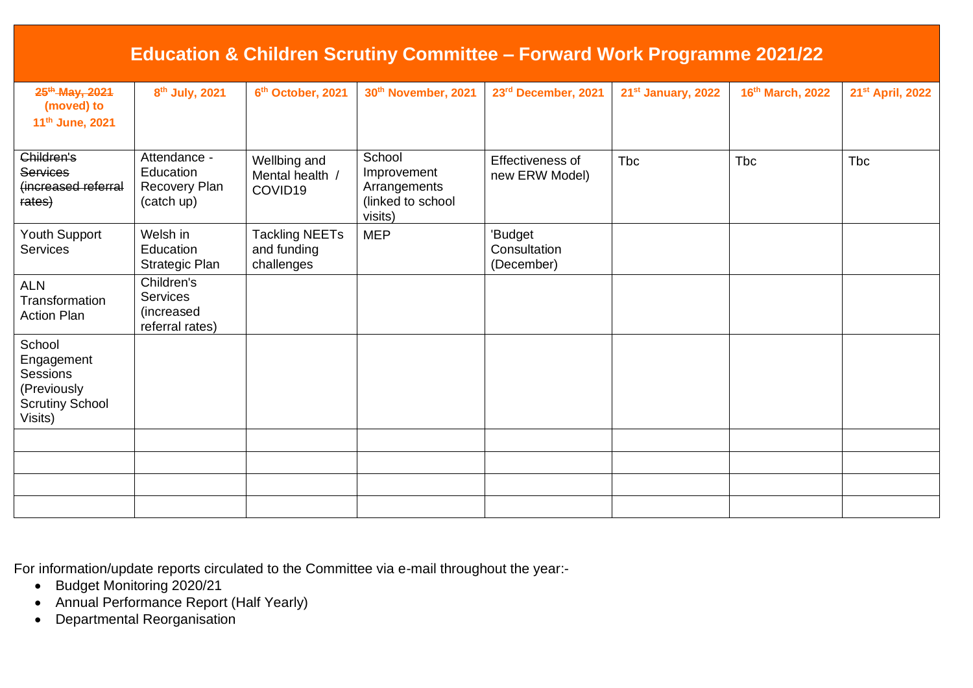| <b>Education &amp; Children Scrutiny Committee - Forward Work Programme 2021/22</b>  |                                                                |                                                    |                                                                       |                                       |                                |                  |                              |
|--------------------------------------------------------------------------------------|----------------------------------------------------------------|----------------------------------------------------|-----------------------------------------------------------------------|---------------------------------------|--------------------------------|------------------|------------------------------|
| 25 <sup>th</sup> -May, 2021<br>(moved) to<br>11 <sup>th</sup> June, 2021             | 8 <sup>th</sup> July, 2021                                     | 6 <sup>th</sup> October, 2021                      | 30th November, 2021                                                   | 23rd December, 2021                   | 21 <sup>st</sup> January, 2022 | 16th March, 2022 | 21 <sup>st</sup> April, 2022 |
| Children's<br><b>Services</b><br>(increased referral<br>rates)                       | Attendance -<br>Education<br>Recovery Plan<br>(catch up)       | Wellbing and<br>Mental health /<br>COVID19         | School<br>Improvement<br>Arrangements<br>(linked to school<br>visits) | Effectiveness of<br>new ERW Model)    | <b>Tbc</b>                     | Tbc              | <b>Tbc</b>                   |
| Youth Support<br><b>Services</b>                                                     | Welsh in<br>Education<br>Strategic Plan                        | <b>Tackling NEETs</b><br>and funding<br>challenges | <b>MEP</b>                                                            | 'Budget<br>Consultation<br>(December) |                                |                  |                              |
| <b>ALN</b><br>Transformation<br><b>Action Plan</b>                                   | Children's<br><b>Services</b><br>(increased<br>referral rates) |                                                    |                                                                       |                                       |                                |                  |                              |
| School<br>Engagement<br>Sessions<br>(Previously<br><b>Scrutiny School</b><br>Visits) |                                                                |                                                    |                                                                       |                                       |                                |                  |                              |
|                                                                                      |                                                                |                                                    |                                                                       |                                       |                                |                  |                              |
|                                                                                      |                                                                |                                                    |                                                                       |                                       |                                |                  |                              |
|                                                                                      |                                                                |                                                    |                                                                       |                                       |                                |                  |                              |

For information/update reports circulated to the Committee via e-mail throughout the year:-

- Budget Monitoring 2020/21
- Annual Performance Report (Half Yearly)
- Departmental Reorganisation